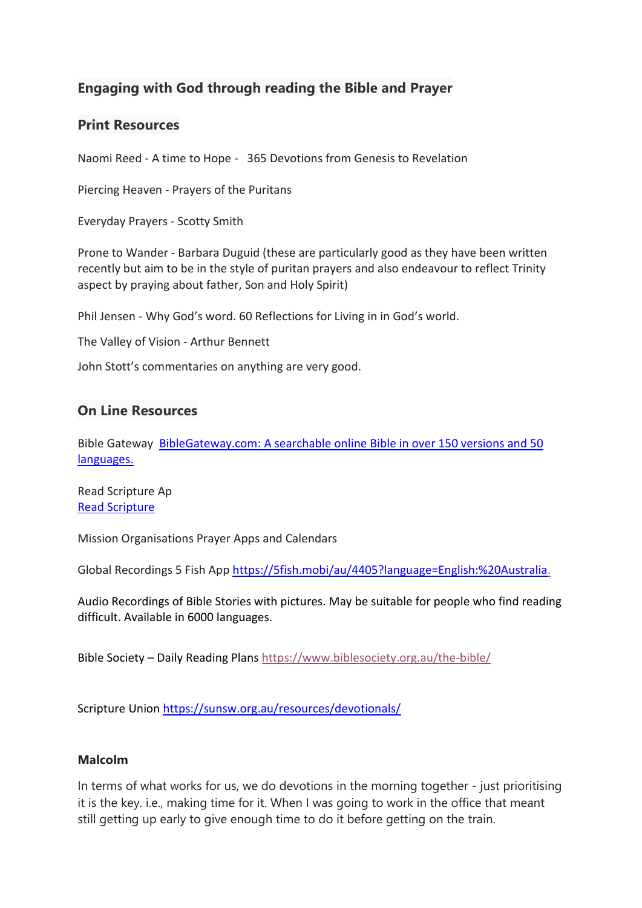# **Engaging with God through reading the Bible and Prayer**

#### **Print Resources**

Naomi Reed - A time to Hope - 365 Devotions from Genesis to Revelation

Piercing Heaven - Prayers of the Puritans

Everyday Prayers - Scotty Smith

Prone to Wander - Barbara Duguid (these are particularly good as they have been written recently but aim to be in the style of puritan prayers and also endeavour to reflect Trinity aspect by praying about father, Son and Holy Spirit)

Phil Jensen - Why God's word. 60 Reflections for Living in in God's world.

The Valley of Vision - Arthur Bennett

John Stott's commentaries on anything are very good.

### **On Line Resources**

Bible Gateway [BibleGateway.com:](https://www.biblegateway.com/) A searchable online Bible in over 150 versions and 50 [languages.](https://www.biblegateway.com/)

Read Scripture Ap Read [Scripture](https://www.readscripture.org/)

Mission Organisations Prayer Apps and Calendars

Global Recordings 5 Fish Ap[p https://5fish.mobi/au/4405?language=English:%20Australia.](https://5fish.mobi/au/4405?language=English:%20Australia)

Audio Recordings of Bible Stories with pictures. May be suitable for people who find reading difficult. Available in 6000 languages.

Bible Society – Daily Reading Plan[s https://www.biblesociety.org.au/the-bible/](https://www.biblesociety.org.au/the-bible/)

Scripture Union<https://sunsw.org.au/resources/devotionals/>

#### **Malcolm**

In terms of what works for us, we do devotions in the morning together - just prioritising it is the key. i.e., making time for it. When I was going to work in the office that meant still getting up early to give enough time to do it before getting on the train.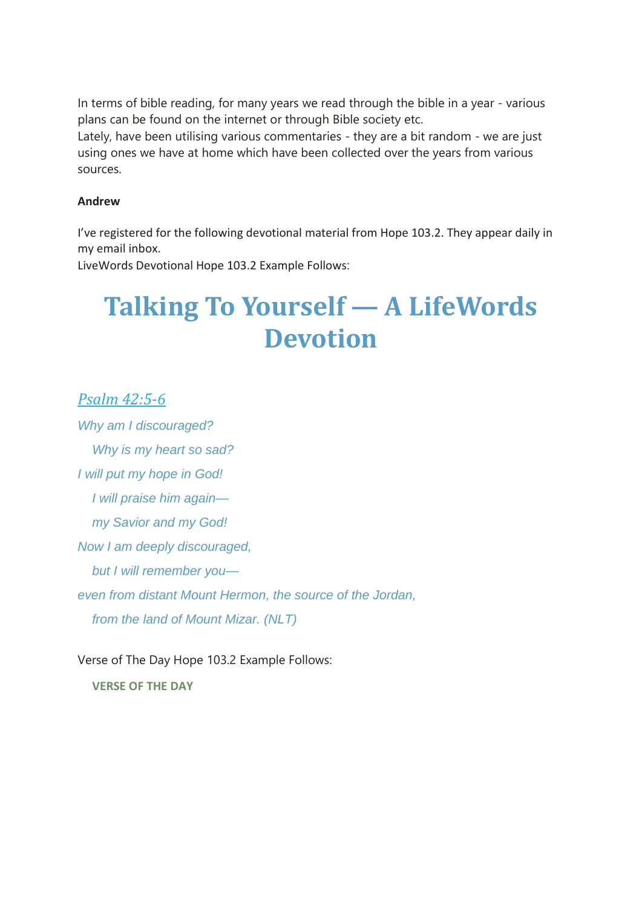In terms of bible reading, for many years we read through the bible in a year - various plans can be found on the internet or through Bible society etc.

Lately, have been utilising various commentaries - they are a bit random - we are just using ones we have at home which have been collected over the years from various sources.

#### **Andrew**

I've registered for the following devotional material from Hope 103.2. They appear daily in my email inbox.

LiveWords Devotional Hope 103.2 Example Follows:

# **Talking To Yourself — A LifeWords Devotion**

## *Psalm [42:5-6](https://hope1032.us1.list-manage.com/track/click?u=786f50ca7ee9d44a85eb7bcb3&id=1c202504ab&e=a1e7732bdb)*

*Why am I discouraged? Why is my heart so sad? I will put my hope in God! I will praise him again my Savior and my God! Now I am deeply discouraged, but I will remember you even from distant Mount Hermon, the source of the Jordan, from the land of Mount Mizar. (NLT)*

Verse of The Day Hope 103.2 Example Follows:

**VERSE OF THE DAY**